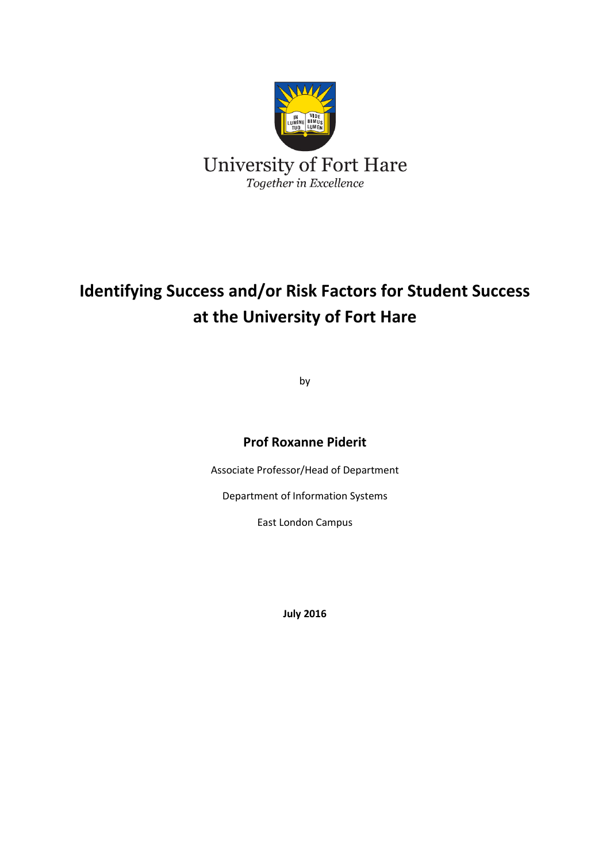

# **Identifying Success and/or Risk Factors for Student Success at the University of Fort Hare**

by

#### **Prof Roxanne Piderit**

Associate Professor/Head of Department

Department of Information Systems

East London Campus

**July 2016**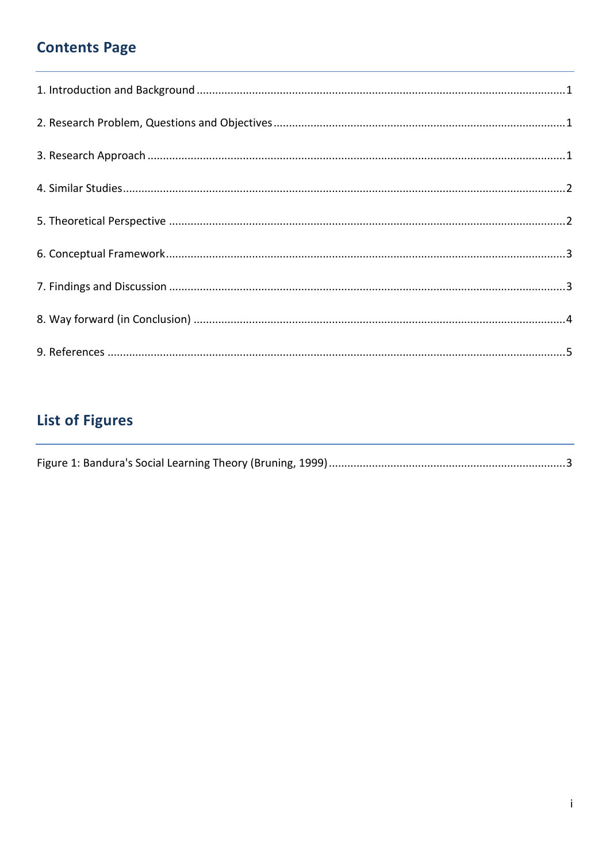## **Contents Page**

## **List of Figures**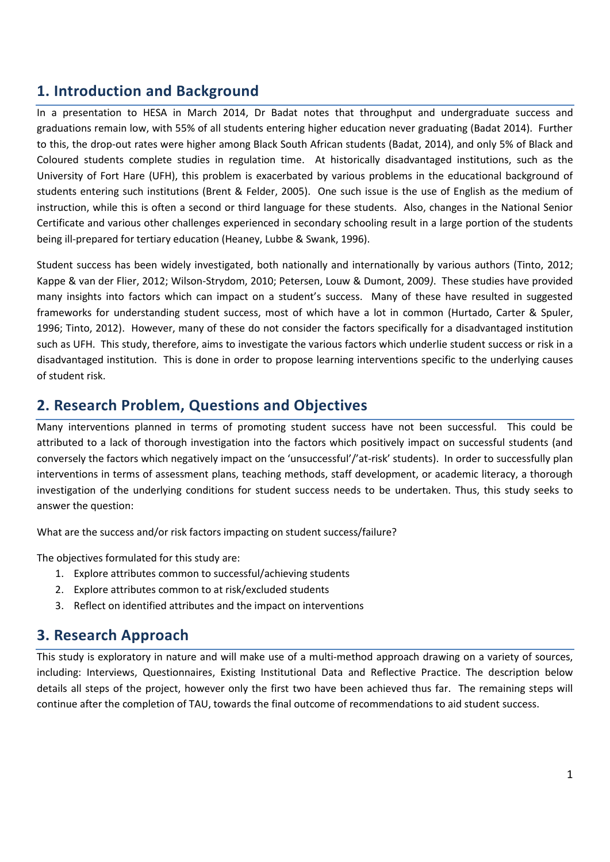#### <span id="page-2-0"></span>**1. Introduction and Background**

In a presentation to HESA in March 2014, Dr Badat notes that throughput and undergraduate success and graduations remain low, with 55% of all students entering higher education never graduating (Badat 2014). Further to this, the drop-out rates were higher among Black South African students (Badat, 2014), and only 5% of Black and Coloured students complete studies in regulation time. At historically disadvantaged institutions, such as the University of Fort Hare (UFH), this problem is exacerbated by various problems in the educational background of students entering such institutions (Brent & Felder, 2005). One such issue is the use of English as the medium of instruction, while this is often a second or third language for these students. Also, changes in the National Senior Certificate and various other challenges experienced in secondary schooling result in a large portion of the students being ill-prepared for tertiary education (Heaney, Lubbe & Swank, 1996).

Student success has been widely investigated, both nationally and internationally by various authors (Tinto, 2012; Kappe & van der Flier, 2012; Wilson-Strydom, 2010; Petersen, Louw & Dumont, 2009*)*. These studies have provided many insights into factors which can impact on a student's success. Many of these have resulted in suggested frameworks for understanding student success, most of which have a lot in common (Hurtado, Carter & Spuler, 1996; Tinto, 2012). However, many of these do not consider the factors specifically for a disadvantaged institution such as UFH. This study, therefore, aims to investigate the various factors which underlie student success or risk in a disadvantaged institution. This is done in order to propose learning interventions specific to the underlying causes of student risk.

#### <span id="page-2-1"></span>**2. Research Problem, Questions and Objectives**

Many interventions planned in terms of promoting student success have not been successful. This could be attributed to a lack of thorough investigation into the factors which positively impact on successful students (and conversely the factors which negatively impact on the 'unsuccessful'/'at-risk' students). In order to successfully plan interventions in terms of assessment plans, teaching methods, staff development, or academic literacy, a thorough investigation of the underlying conditions for student success needs to be undertaken. Thus, this study seeks to answer the question:

What are the success and/or risk factors impacting on student success/failure?

The objectives formulated for this study are:

- 1. Explore attributes common to successful/achieving students
- 2. Explore attributes common to at risk/excluded students
- 3. Reflect on identified attributes and the impact on interventions

#### <span id="page-2-2"></span>**3. Research Approach**

This study is exploratory in nature and will make use of a multi-method approach drawing on a variety of sources, including: Interviews, Questionnaires, Existing Institutional Data and Reflective Practice. The description below details all steps of the project, however only the first two have been achieved thus far. The remaining steps will continue after the completion of TAU, towards the final outcome of recommendations to aid student success.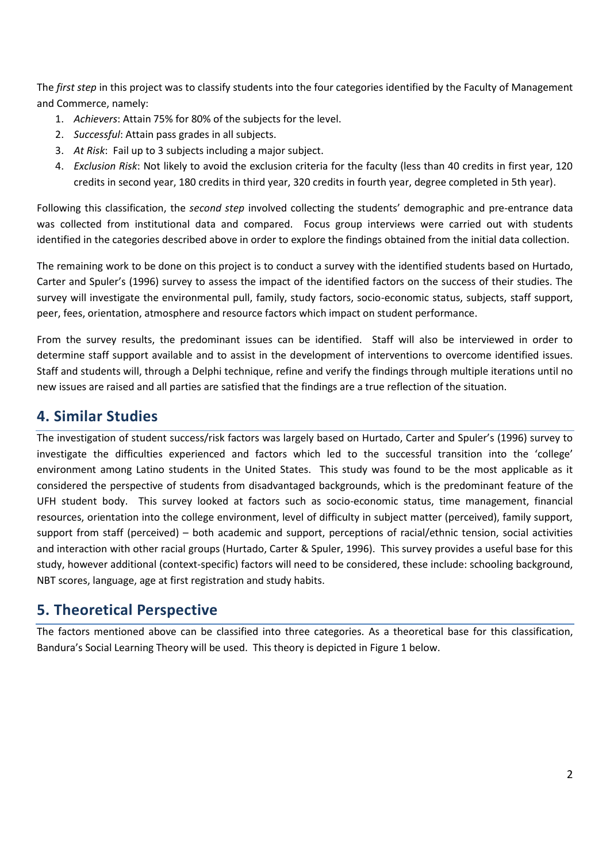The *first step* in this project was to classify students into the four categories identified by the Faculty of Management and Commerce, namely:

- 1. *Achievers*: Attain 75% for 80% of the subjects for the level.
- 2. *Successful*: Attain pass grades in all subjects.
- 3. *At Risk*: Fail up to 3 subjects including a major subject.
- 4. *Exclusion Risk*: Not likely to avoid the exclusion criteria for the faculty (less than 40 credits in first year, 120 credits in second year, 180 credits in third year, 320 credits in fourth year, degree completed in 5th year).

Following this classification, the *second step* involved collecting the students' demographic and pre-entrance data was collected from institutional data and compared. Focus group interviews were carried out with students identified in the categories described above in order to explore the findings obtained from the initial data collection.

The remaining work to be done on this project is to conduct a survey with the identified students based on Hurtado, Carter and Spuler's (1996) survey to assess the impact of the identified factors on the success of their studies. The survey will investigate the environmental pull, family, study factors, socio-economic status, subjects, staff support, peer, fees, orientation, atmosphere and resource factors which impact on student performance.

From the survey results, the predominant issues can be identified. Staff will also be interviewed in order to determine staff support available and to assist in the development of interventions to overcome identified issues. Staff and students will, through a Delphi technique, refine and verify the findings through multiple iterations until no new issues are raised and all parties are satisfied that the findings are a true reflection of the situation.

#### <span id="page-3-0"></span>**4. Similar Studies**

The investigation of student success/risk factors was largely based on Hurtado, Carter and Spuler's (1996) survey to investigate the difficulties experienced and factors which led to the successful transition into the 'college' environment among Latino students in the United States. This study was found to be the most applicable as it considered the perspective of students from disadvantaged backgrounds, which is the predominant feature of the UFH student body. This survey looked at factors such as socio-economic status, time management, financial resources, orientation into the college environment, level of difficulty in subject matter (perceived), family support, support from staff (perceived) – both academic and support, perceptions of racial/ethnic tension, social activities and interaction with other racial groups (Hurtado, Carter & Spuler, 1996). This survey provides a useful base for this study, however additional (context-specific) factors will need to be considered, these include: schooling background, NBT scores, language, age at first registration and study habits.

### <span id="page-3-1"></span>**5. Theoretical Perspective**

The factors mentioned above can be classified into three categories. As a theoretical base for this classification, Bandura's Social Learning Theory will be used. This theory is depicted in Figure 1 below.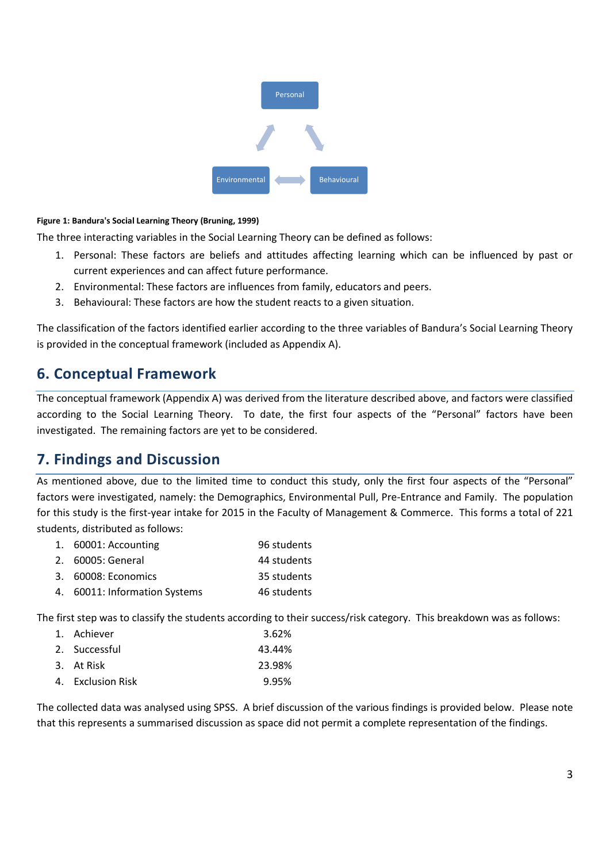

#### <span id="page-4-2"></span>**Figure 1: Bandura's Social Learning Theory (Bruning, 1999)**

The three interacting variables in the Social Learning Theory can be defined as follows:

- 1. Personal: These factors are beliefs and attitudes affecting learning which can be influenced by past or current experiences and can affect future performance.
- 2. Environmental: These factors are influences from family, educators and peers.
- 3. Behavioural: These factors are how the student reacts to a given situation.

The classification of the factors identified earlier according to the three variables of Bandura's Social Learning Theory is provided in the conceptual framework (included as Appendix A).

#### <span id="page-4-0"></span>**6. Conceptual Framework**

The conceptual framework (Appendix A) was derived from the literature described above, and factors were classified according to the Social Learning Theory. To date, the first four aspects of the "Personal" factors have been investigated. The remaining factors are yet to be considered.

#### <span id="page-4-1"></span>**7. Findings and Discussion**

As mentioned above, due to the limited time to conduct this study, only the first four aspects of the "Personal" factors were investigated, namely: the Demographics, Environmental Pull, Pre-Entrance and Family. The population for this study is the first-year intake for 2015 in the Faculty of Management & Commerce. This forms a total of 221 students, distributed as follows:

| 1. 60001: Accounting          | 96 students |
|-------------------------------|-------------|
| 2. 60005: General             | 44 students |
| 3. 60008: Economics           | 35 students |
| 4. 60011: Information Systems | 46 students |

The first step was to classify the students according to their success/risk category. This breakdown was as follows:

| 1. Achiever       | 3.62%  |
|-------------------|--------|
| 2. Successful     | 43.44% |
| 3. At Risk        | 23.98% |
| 4. Exclusion Risk | 9.95%  |
|                   |        |

The collected data was analysed using SPSS. A brief discussion of the various findings is provided below. Please note that this represents a summarised discussion as space did not permit a complete representation of the findings.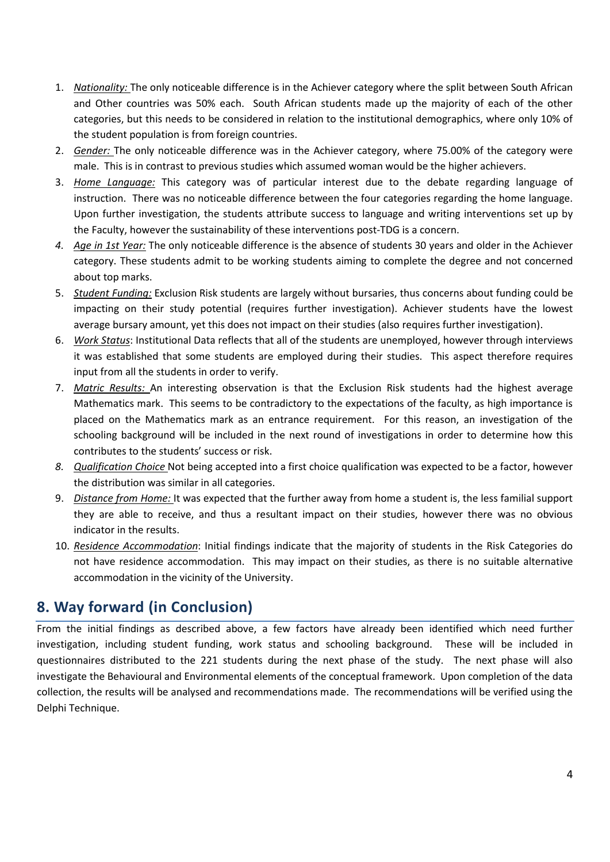- 1. *Nationality:* The only noticeable difference is in the Achiever category where the split between South African and Other countries was 50% each. South African students made up the majority of each of the other categories, but this needs to be considered in relation to the institutional demographics, where only 10% of the student population is from foreign countries.
- 2. *Gender:* The only noticeable difference was in the Achiever category, where 75.00% of the category were male. This is in contrast to previous studies which assumed woman would be the higher achievers.
- 3. *Home Language:* This category was of particular interest due to the debate regarding language of instruction. There was no noticeable difference between the four categories regarding the home language. Upon further investigation, the students attribute success to language and writing interventions set up by the Faculty, however the sustainability of these interventions post-TDG is a concern.
- *4. Age in 1st Year:* The only noticeable difference is the absence of students 30 years and older in the Achiever category. These students admit to be working students aiming to complete the degree and not concerned about top marks.
- 5. *Student Funding:* Exclusion Risk students are largely without bursaries, thus concerns about funding could be impacting on their study potential (requires further investigation). Achiever students have the lowest average bursary amount, yet this does not impact on their studies (also requires further investigation).
- 6. *Work Status*: Institutional Data reflects that all of the students are unemployed, however through interviews it was established that some students are employed during their studies. This aspect therefore requires input from all the students in order to verify.
- 7. *Matric Results:* An interesting observation is that the Exclusion Risk students had the highest average Mathematics mark. This seems to be contradictory to the expectations of the faculty, as high importance is placed on the Mathematics mark as an entrance requirement. For this reason, an investigation of the schooling background will be included in the next round of investigations in order to determine how this contributes to the students' success or risk.
- *8. Qualification Choice* Not being accepted into a first choice qualification was expected to be a factor, however the distribution was similar in all categories.
- 9. *Distance from Home:* It was expected that the further away from home a student is, the less familial support they are able to receive, and thus a resultant impact on their studies, however there was no obvious indicator in the results.
- 10. *Residence Accommodation*: Initial findings indicate that the majority of students in the Risk Categories do not have residence accommodation. This may impact on their studies, as there is no suitable alternative accommodation in the vicinity of the University.

### <span id="page-5-0"></span>**8. Way forward (in Conclusion)**

From the initial findings as described above, a few factors have already been identified which need further investigation, including student funding, work status and schooling background. These will be included in questionnaires distributed to the 221 students during the next phase of the study. The next phase will also investigate the Behavioural and Environmental elements of the conceptual framework. Upon completion of the data collection, the results will be analysed and recommendations made. The recommendations will be verified using the Delphi Technique.